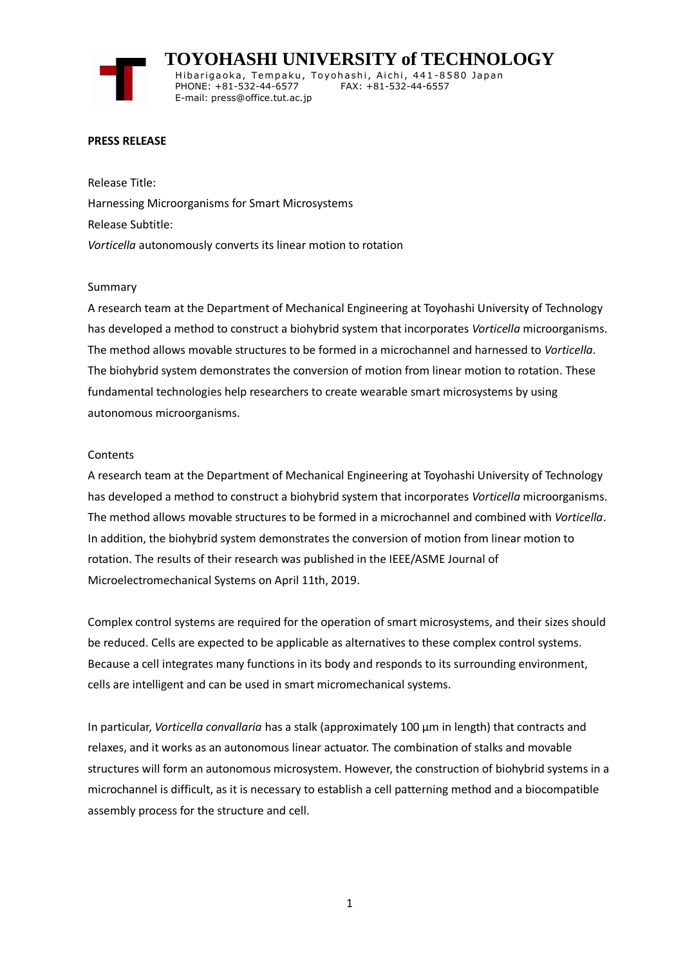**TOYOHASHI UNIVERSITY of TECHNOLOGY** Hibarigaoka, Tempaku, Toyohashi, Aichi, 441-8580 Japan PHONE: +81-532-44-6577 FAX: +81-532-44-6557 E-mail: press@office.tut.ac.jp

## **PRESS RELEASE**

Release Title: Harnessing Microorganisms for Smart Microsystems Release Subtitle: *Vorticella* autonomously converts its linear motion to rotation

## Summary

A research team at the Department of Mechanical Engineering at Toyohashi University of Technology has developed a method to construct a biohybrid system that incorporates *Vorticella* microorganisms. The method allows movable structures to be formed in a microchannel and harnessed to *Vorticella*. The biohybrid system demonstrates the conversion of motion from linear motion to rotation. These fundamental technologies help researchers to create wearable smart microsystems by using autonomous microorganisms.

## **Contents**

A research team at the Department of Mechanical Engineering at Toyohashi University of Technology has developed a method to construct a biohybrid system that incorporates *Vorticella* microorganisms. The method allows movable structures to be formed in a microchannel and combined with *Vorticella*. In addition, the biohybrid system demonstrates the conversion of motion from linear motion to rotation. The results of their research was published in the IEEE/ASME Journal of Microelectromechanical Systems on April 11th, 2019.

Complex control systems are required for the operation of smart microsystems, and their sizes should be reduced. Cells are expected to be applicable as alternatives to these complex control systems. Because a cell integrates many functions in its body and responds to its surrounding environment, cells are intelligent and can be used in smart micromechanical systems.

In particular, *Vorticella convallaria* has a stalk (approximately 100 μm in length) that contracts and relaxes, and it works as an autonomous linear actuator. The combination of stalks and movable structures will form an autonomous microsystem. However, the construction of biohybrid systems in a microchannel is difficult, as it is necessary to establish a cell patterning method and a biocompatible assembly process for the structure and cell.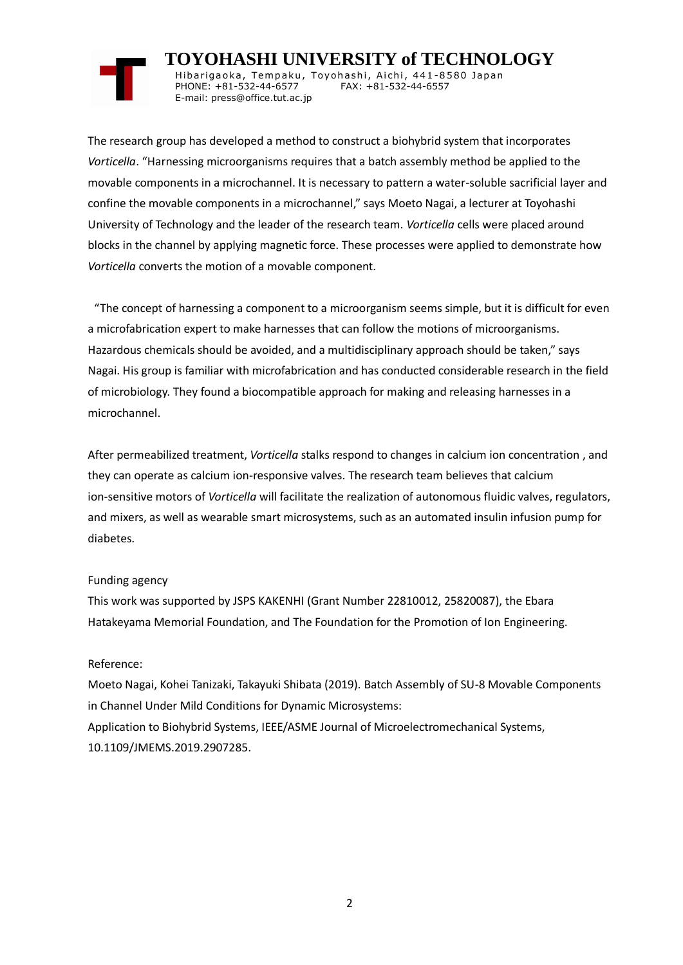# **TOYOHASHI UNIVERSITY of TECHNOLOGY**

Hibarigaoka, Tempaku, Toyohashi, Aichi, 441-8580 Japan PHONE: +81-532-44-6577 FAX: +81-532-44-6557 E-mail: press@office.tut.ac.jp

The research group has developed a method to construct a biohybrid system that incorporates *Vorticella*. "Harnessing microorganisms requires that a batch assembly method be applied to the movable components in a microchannel. It is necessary to pattern a water-soluble sacrificial layer and confine the movable components in a microchannel," says Moeto Nagai, a lecturer at Toyohashi University of Technology and the leader of the research team. *Vorticella* cells were placed around blocks in the channel by applying magnetic force. These processes were applied to demonstrate how *Vorticella* converts the motion of a movable component.

"The concept of harnessing a component to a microorganism seems simple, but it is difficult for even a microfabrication expert to make harnesses that can follow the motions of microorganisms. Hazardous chemicals should be avoided, and a multidisciplinary approach should be taken," says Nagai. His group is familiar with microfabrication and has conducted considerable research in the field of microbiology. They found a biocompatible approach for making and releasing harnesses in a microchannel.

After permeabilized treatment, *Vorticella* stalks respond to changes in calcium ion concentration , and they can operate as calcium ion-responsive valves. The research team believes that calcium ion-sensitive motors of *Vorticella* will facilitate the realization of autonomous fluidic valves, regulators, and mixers, as well as wearable smart microsystems, such as an automated insulin infusion pump for diabetes.

# Funding agency

This work was supported by JSPS KAKENHI (Grant Number 22810012, 25820087), the Ebara Hatakeyama Memorial Foundation, and The Foundation for the Promotion of Ion Engineering.

# Reference:

Moeto Nagai, Kohei Tanizaki, Takayuki Shibata (2019). Batch Assembly of SU-8 Movable Components in Channel Under Mild Conditions for Dynamic Microsystems: Application to Biohybrid Systems, IEEE/ASME Journal of Microelectromechanical Systems, 10.1109/JMEMS.2019.2907285.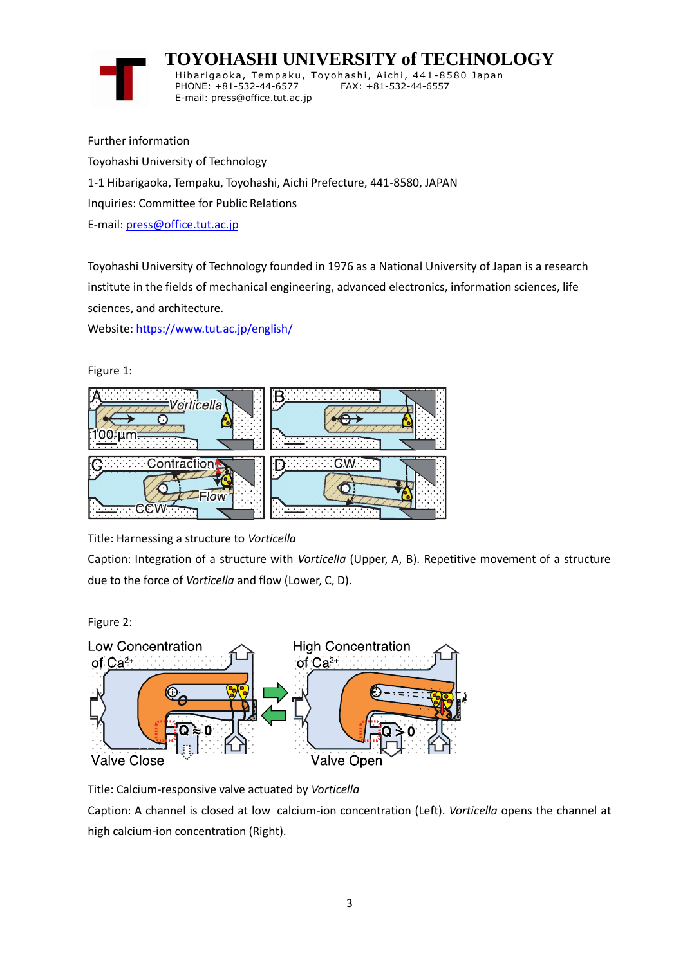

 **TOYOHASHI UNIVERSITY of TECHNOLOGY** Hibarigaoka, Tempaku, Toyohashi, Aichi, 441-8580 Japan PHONE: +81-532-44-6577 FAX: +81-532-44-6557 E-mail: press@office.tut.ac.jp

Further information Toyohashi University of Technology 1-1 Hibarigaoka, Tempaku, Toyohashi, Aichi Prefecture, 441-8580, JAPAN Inquiries: Committee for Public Relations E-mail: [press@office.tut.ac.jp](mailto:press@office.tut.ac.jp)

Toyohashi University of Technology founded in 1976 as a National University of Japan is a research institute in the fields of mechanical engineering, advanced electronics, information sciences, life sciences, and architecture.

Website[: https://www.tut.ac.jp/english/](https://www.tut.ac.jp/english/)

Figure 1:



Title: Harnessing a structure to *Vorticella*

Caption: Integration of a structure with *Vorticella* (Upper, A, B). Repetitive movement of a structure due to the force of *Vorticella* and flow (Lower, C, D).

Figure 2:



Title: Calcium-responsive valve actuated by *Vorticella*

Caption: A channel is closed at low calcium-ion concentration (Left). *Vorticella* opens the channel at high calcium-ion concentration (Right).